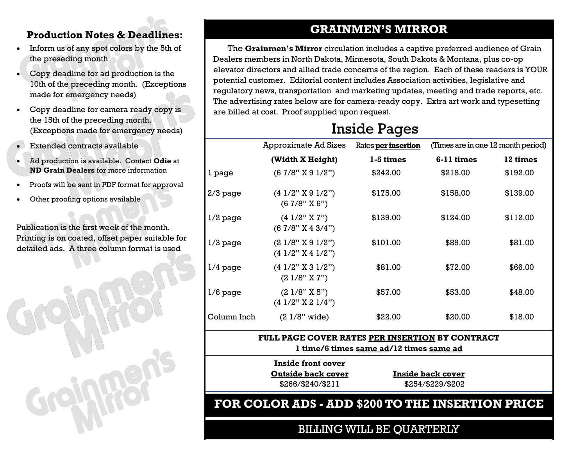- Inform us of any spot colors by the 5th of the preseding month
- Copy deadline for ad production is the 10th of the preceding month. (Exceptions made for emergency needs)
- Copy deadline for camera ready copy is the 15th of the preceding month. (Exceptions made for emergency needs)
- Extended contracts available
- Ad production is available. Contact **Odie** at **ND Grain Dealers** for more information
- Proofs will be sent in PDF format for approval
- Other proofing options available

Publication is the first week of the month. Printing is on coated, offset paper suitable for detailed ads. A three column format is used



## **GRAINMEN'S MIRROR Production Notes & Deadlines:**

 The **Grainmen's Mirror** circulation includes a captive preferred audience of Grain Dealers members in North Dakota, Minnesota, South Dakota & Montana, plus co-op elevator directors and allied trade concerns of the region. Each of these readers is YOUR potential customer. Editorial content includes Association activities, legislative and regulatory news, transportation and marketing updates, meeting and trade reports, etc. The advertising rates below are for camera-ready copy. Extra art work and typesetting are billed at cost. Proof supplied upon request.

## Inside Pages

|             | <b>Approximate Ad Sizes</b>                                       | Rates <b>per insertion</b> | (Times are in one 12 month period) |          |
|-------------|-------------------------------------------------------------------|----------------------------|------------------------------------|----------|
|             | (Width X Height)                                                  | 1-5 times                  | 6-11 times                         | 12 times |
| 1 page      | (67/8" X 91/2")                                                   | \$242.00                   | \$218.00                           | \$192.00 |
| $2/3$ page  | $(4\frac{1}{2}$ " X 9 $\frac{1}{2}$ ")<br>(67/8" X 6")            | \$175.00                   | \$158.00                           | \$139.00 |
| $1/2$ page  | $(4\ 1/2"$ X $7"$ )<br>(67/8" X 43/4")                            | \$139.00                   | \$124.00                           | \$112.00 |
| $1/3$ page  | (21/8" X 91/2")<br>$(4\frac{1}{2}$ " X 4 $\frac{1}{2}$ ")         | \$101.00                   | \$89.00                            | \$81.00  |
| $1/4$ page  | $(4\frac{1}{2}$ " X 3 $\frac{1}{2}$ ")<br>$(21/8"$ X $7")$        | \$81.00                    | \$72.00                            | \$66.00  |
| $1/6$ page  | $(2\frac{1}{8}$ " X 5")<br>$(4\frac{1}{2}$ " X 2 $\frac{1}{4}$ ") | \$57.00                    | \$53.00                            | \$48.00  |
| Column Inch | $(21/8"$ wide)                                                    | \$22.00                    | \$20.00                            | \$18.00  |

### **FULL PAGE COVER RATES PER INSERTION BY CONTRACT 1 time/6 times same ad/12 times same ad**

**Inside front cover Outside back cover** \$266/\$240/\$211

**Inside back cover** \$254/\$229/\$202

**FOR COLOR ADS - ADD \$200 TO THE INSERTION PRICE** 

BILLING WILL BE QUARTERLY